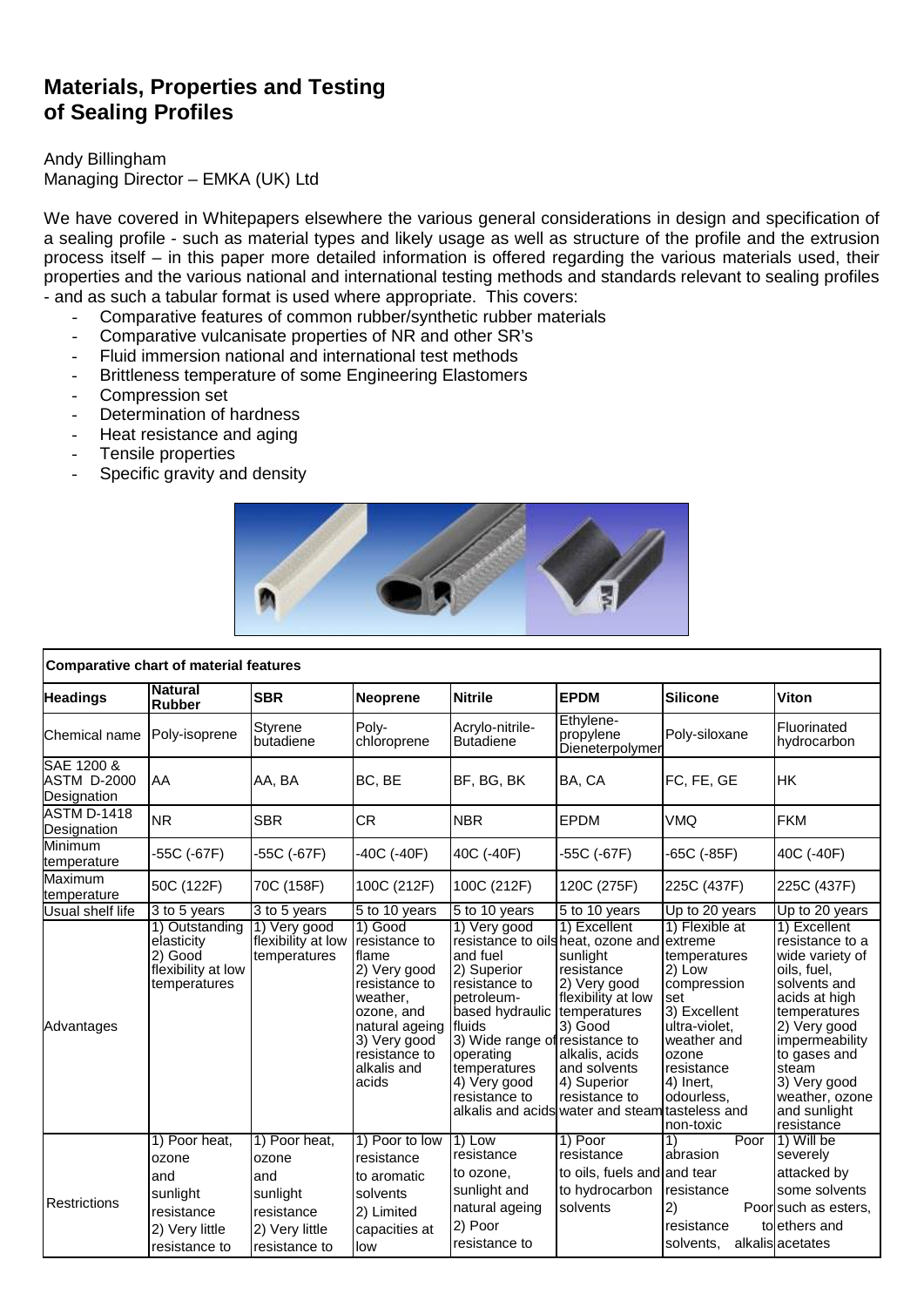# **Materials, Properties and Testing of Sealing Profiles**

## Andy Billingham Managing Director – EMKA (UK) Ltd

We have covered in Whitepapers elsewhere the various general considerations in design and specification of a sealing profile - such as material types and likely usage as well as structure of the profile and the extrusion process itself – in this paper more detailed information is offered regarding the various materials used, their properties and the various national and international testing methods and standards relevant to sealing profiles - and as such a tabular format is used where appropriate. This covers:

- Comparative features of common rubber/synthetic rubber materials<br>- Comparative vulcanisate properties of NR and other SR's
- Comparative vulcanisate properties of NR and other SR's
- Fluid immersion national and international test methods
- Brittleness temperature of some Engineering Elastomers
- Compression set
- Determination of hardness
- Heat resistance and aging
- Tensile properties
- Specific gravity and density



| Comparative chart of material features          |                                                                                            |                                                                                            |                                                                                                                                                                           |                                                                                                                                                                                                     |                                                                                                                                                                                                                                                                            |                                                                                                                                                                               |                                                                                                                                                                                                                                               |  |  |  |
|-------------------------------------------------|--------------------------------------------------------------------------------------------|--------------------------------------------------------------------------------------------|---------------------------------------------------------------------------------------------------------------------------------------------------------------------------|-----------------------------------------------------------------------------------------------------------------------------------------------------------------------------------------------------|----------------------------------------------------------------------------------------------------------------------------------------------------------------------------------------------------------------------------------------------------------------------------|-------------------------------------------------------------------------------------------------------------------------------------------------------------------------------|-----------------------------------------------------------------------------------------------------------------------------------------------------------------------------------------------------------------------------------------------|--|--|--|
| <b>Headings</b>                                 | <b>Natural</b><br><b>Rubber</b>                                                            | <b>SBR</b>                                                                                 | <b>Neoprene</b>                                                                                                                                                           | <b>Nitrile</b>                                                                                                                                                                                      | <b>EPDM</b>                                                                                                                                                                                                                                                                | <b>Silicone</b>                                                                                                                                                               | Viton                                                                                                                                                                                                                                         |  |  |  |
| Chemical name                                   | Poly-isoprene                                                                              | Styrene<br>butadiene                                                                       | Poly-<br>chloroprene                                                                                                                                                      | Acrylo-nitrile-<br><b>Butadiene</b>                                                                                                                                                                 | Ethylene-<br>propylene<br>Dieneterpolymer                                                                                                                                                                                                                                  | Poly-siloxane                                                                                                                                                                 | Fluorinated<br>hydrocarbon                                                                                                                                                                                                                    |  |  |  |
| SAE 1200 &<br><b>ASTM D-2000</b><br>Designation | AA                                                                                         | AA, BA                                                                                     | BC, BE                                                                                                                                                                    | BF, BG, BK                                                                                                                                                                                          | BA, CA                                                                                                                                                                                                                                                                     | FC, FE, GE                                                                                                                                                                    | <b>HK</b>                                                                                                                                                                                                                                     |  |  |  |
| <b>ASTM D-1418</b><br>Designation               | <b>NR</b>                                                                                  | <b>SBR</b>                                                                                 | <b>CR</b>                                                                                                                                                                 | <b>NBR</b>                                                                                                                                                                                          | <b>EPDM</b>                                                                                                                                                                                                                                                                | <b>VMQ</b>                                                                                                                                                                    | <b>FKM</b>                                                                                                                                                                                                                                    |  |  |  |
| Minimum<br>temperature                          | -55C (-67F)                                                                                | -55C (-67F)                                                                                | $-40C$ ( $-40F$ )                                                                                                                                                         | 40C (-40F)                                                                                                                                                                                          | -55C (-67F)                                                                                                                                                                                                                                                                | -65C (-85F)                                                                                                                                                                   | 40C (-40F)                                                                                                                                                                                                                                    |  |  |  |
| Maximum<br>temperature                          | 50C (122F)                                                                                 | 70C (158F)                                                                                 | 100C (212F)                                                                                                                                                               | 100C (212F)                                                                                                                                                                                         | 120C (275F)                                                                                                                                                                                                                                                                | 225C (437F)                                                                                                                                                                   | 225C (437F)                                                                                                                                                                                                                                   |  |  |  |
| Usual shelf life                                | 3 to 5 years                                                                               | 3 to 5 years                                                                               | 5 to 10 years                                                                                                                                                             | 5 to 10 years                                                                                                                                                                                       | 5 to 10 years                                                                                                                                                                                                                                                              | Up to 20 years                                                                                                                                                                | Up to 20 years                                                                                                                                                                                                                                |  |  |  |
| Advantages                                      | 1) Outstanding<br>elasticity<br>2) Good<br>flexibility at low<br>temperatures              | 1) Very good<br>flexibility at low<br>temperatures                                         | $1)$ Good<br>resistance to<br>flame<br>2) Very good<br>resistance to<br>weather,<br>ozone, and<br>natural ageing<br>3) Very good<br>resistance to<br>alkalis and<br>acids | 1) Very good<br>and fuel<br>2) Superior<br>resistance to<br>petroleum-<br>based hydraulic<br>fluids<br>3) Wide range of resistance to<br>operating<br>temperatures<br>4) Very good<br>resistance to | 1) Excellent<br>resistance to oils heat, ozone and extreme<br>sunlight<br>resistance<br>2) Very good<br>flexibility at low<br>temperatures<br>3) Good<br>alkalis, acids<br>and solvents<br>4) Superior<br>resistance to<br>alkalis and acids water and steam tasteless and | 1) Flexible at<br>temperatures<br>2) Low<br>compression<br>set<br>3) Excellent<br>ultra-violet.<br>weather and<br>ozone<br>resistance<br>4) Inert.<br>odourless.<br>non-toxic | 1) Excellent<br>resistance to a<br>wide variety of<br>oils, fuel,<br>solvents and<br>acids at high<br>temperatures<br>2) Very good<br>impermeability<br>to gases and<br>steam<br>3) Very good<br>weather, ozone<br>and sunlight<br>resistance |  |  |  |
| Restrictions                                    | 1) Poor heat,<br>ozone<br>and<br>sunlight<br>resistance<br>2) Very little<br>resistance to | 1) Poor heat,<br>ozone<br>and<br>sunlight<br>resistance<br>2) Very little<br>resistance to | 1) Poor to low<br>resistance<br>to aromatic<br>solvents<br>2) Limited<br>capacities at<br>low                                                                             | $1)$ Low<br>resistance<br>to ozone,<br>sunlight and<br>natural ageing<br>2) Poor<br>resistance to                                                                                                   | 1) Poor<br>resistance<br>to oils, fuels and and tear<br>to hydrocarbon<br>solvents                                                                                                                                                                                         | Poor<br>1)<br>abrasion<br>resistance<br>2)<br>resistance<br>solvents,                                                                                                         | 1) Will be<br>severely<br>attacked by<br>some solvents<br>Poor such as esters,<br>to ethers and<br>alkalis acetates                                                                                                                           |  |  |  |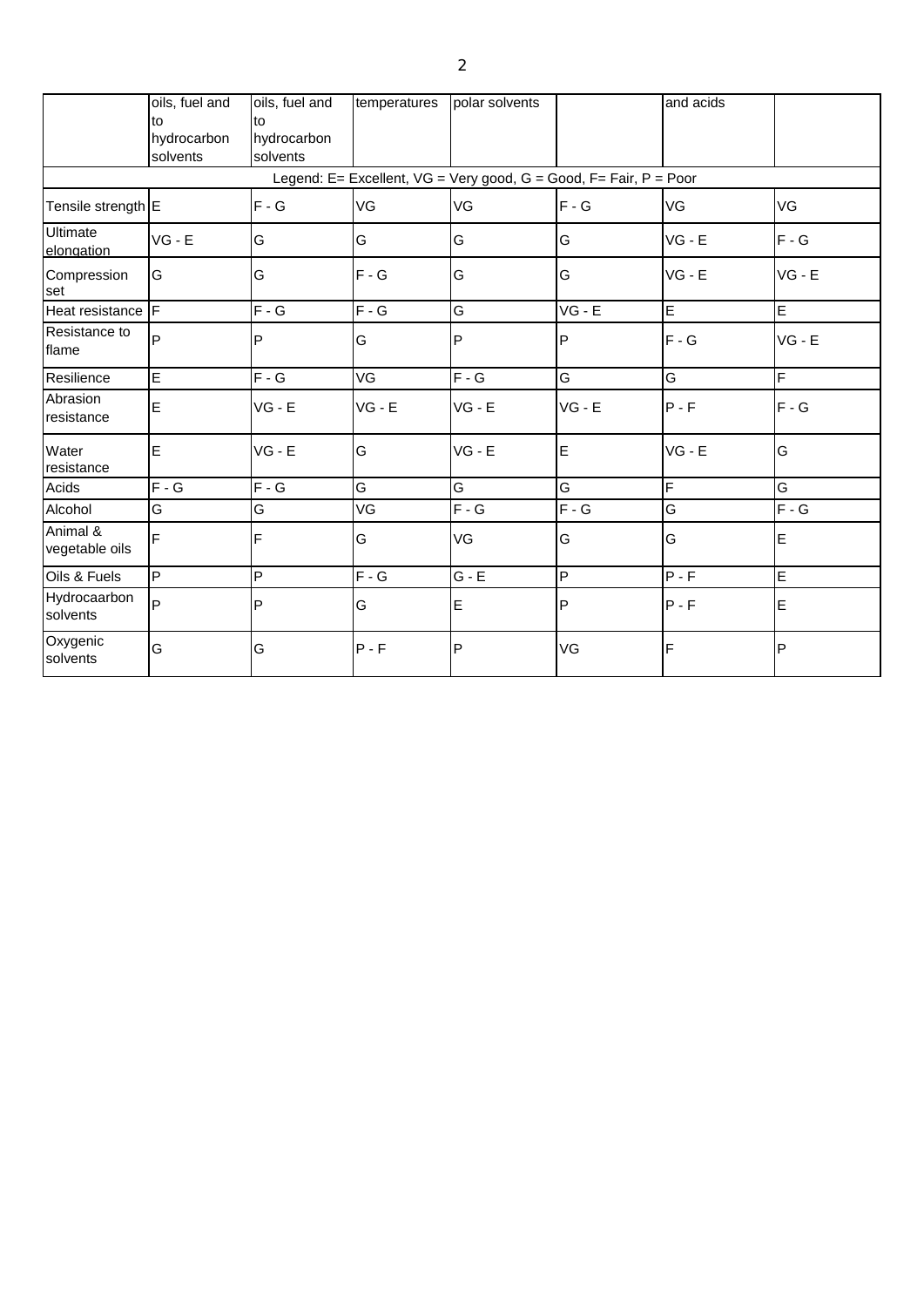|                               | oils, fuel and<br>to<br>hydrocarbon<br>solvents | oils, fuel and<br>to<br>hydrocarbon<br>solvents | temperatures | polar solvents                                                    |                         | and acids      |                |
|-------------------------------|-------------------------------------------------|-------------------------------------------------|--------------|-------------------------------------------------------------------|-------------------------|----------------|----------------|
|                               |                                                 |                                                 |              | Legend: E= Excellent, VG = Very good, G = Good, F= Fair, P = Poor |                         |                |                |
| Tensile strength E            |                                                 | $F - G$                                         | VG           | VG                                                                | $F - G$                 | VG             | VG             |
| <b>Ultimate</b><br>elongation | $VG - E$                                        | G                                               | G            | G                                                                 | G                       | $VG - E$       | $F - G$        |
| Compression<br>set            | G                                               | G                                               | $F - G$      | G                                                                 | G                       | $VG - E$       | $VG - E$       |
| Heat resistance F             |                                                 | $F - G$                                         | $F - G$      | G                                                                 | $VG - E$                | E              | $\blacksquare$ |
| Resistance to<br>flame        | P                                               | P                                               | G            | P                                                                 | IP                      | $F - G$        | $VG - E$       |
| Resilience                    | $\overline{E}$                                  | $F - G$                                         | VG           | $F - G$                                                           | G                       | G              | $\overline{F}$ |
| Abrasion<br>resistance        | E                                               | $VG - E$                                        | $VG - E$     | $VG - E$                                                          | $VG - E$                | $P - F$        | $F - G$        |
| Water<br>resistance           | E                                               | $VG - E$                                        | G            | $VG - E$                                                          | lE.                     | $VG - E$       | G              |
| Acids                         | $F - G$                                         | $F - G$                                         | G            | G                                                                 | G                       | $\overline{F}$ | G              |
| Alcohol                       | G                                               | G                                               | VG           | $F - G$                                                           | $F - G$                 | G              | $F - G$        |
| Animal &<br>vegetable oils    | F                                               | F                                               | G            | VG                                                                | G                       | G              | E              |
| Oils & Fuels                  | P                                               | P                                               | $F - G$      | $G - E$                                                           | $\overline{\mathsf{P}}$ | $P - F$        | $\overline{E}$ |
| Hydrocaarbon<br>solvents      | P                                               | $\mathsf{P}$                                    | G            | E                                                                 | IP                      | $P - F$        | E              |
| Oxygenic<br>solvents          | G                                               | G                                               | $P - F$      | P                                                                 | VG                      | F              | $\overline{P}$ |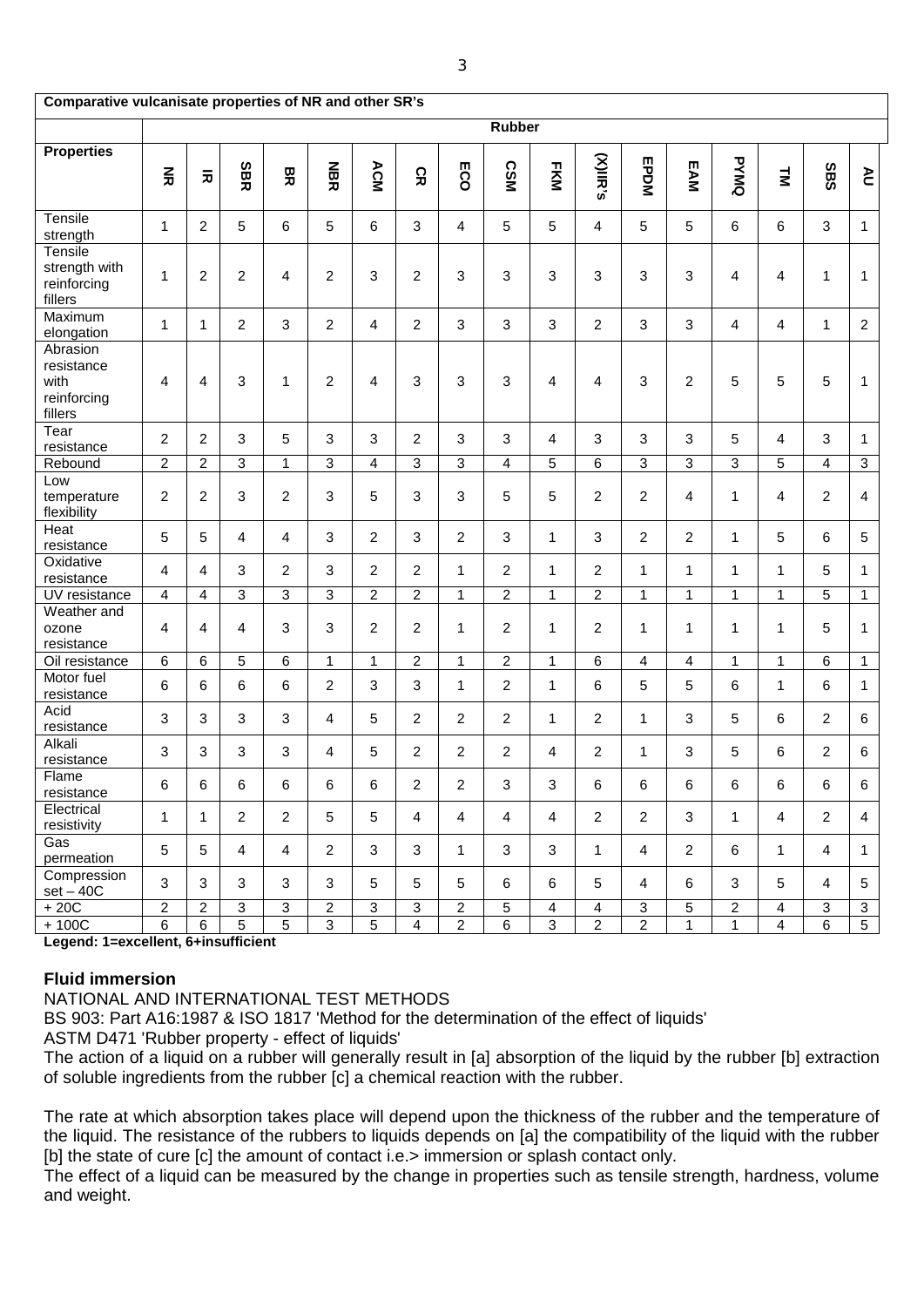| Comparative vulcanisate properties of NR and other SR's  |                |                         |                           |                           |                |                |                         |                |                |                |                         |                |                         |                |                |                           |                |
|----------------------------------------------------------|----------------|-------------------------|---------------------------|---------------------------|----------------|----------------|-------------------------|----------------|----------------|----------------|-------------------------|----------------|-------------------------|----------------|----------------|---------------------------|----------------|
|                                                          | <b>Rubber</b>  |                         |                           |                           |                |                |                         |                |                |                |                         |                |                         |                |                |                           |                |
| <b>Properties</b>                                        | $\frac{z}{x}$  | $\overline{\mathbf{x}}$ | <b>SBR</b>                | 모                         | <b>NBR</b>     | ACM            | ς<br>Κ                  | m<br>So        | <b>CSM</b>     | <b>FKM</b>     | (X)IIR's                | <b>EPDM</b>    | EAM                     | <b>PYMQ</b>    | $\mathbf{z}$   | SBS                       | P              |
| Tensile<br>strength                                      | $\mathbf{1}$   | $\overline{c}$          | 5                         | 6                         | 5              | 6              | 3                       | 4              | 5              | 5              | $\overline{4}$          | 5              | 5                       | 6              | $\,6\,$        | 3                         | $\mathbf{1}$   |
| Tensile<br>strength with<br>reinforcing<br>fillers       | 1              | 2                       | $\overline{\mathbf{c}}$   | 4                         | $\overline{c}$ | 3              | $\overline{c}$          | 3              | 3              | 3              | 3                       | 3              | 3                       | 4              | 4              | 1                         | $\mathbf{1}$   |
| Maximum<br>elongation                                    | $\mathbf{1}$   | $\mathbf{1}$            | $\overline{c}$            | $\mathfrak{Z}$            | $\overline{2}$ | $\overline{4}$ | $\overline{2}$          | $\mathfrak{S}$ | 3              | $\mathfrak{S}$ | $\overline{2}$          | 3              | 3                       | $\overline{4}$ | $\overline{4}$ | $\mathbf{1}$              | $\overline{2}$ |
| Abrasion<br>resistance<br>with<br>reinforcing<br>fillers | $\overline{4}$ | $\overline{4}$          | 3                         | $\mathbf{1}$              | $\overline{2}$ | 4              | 3                       | 3              | 3              | $\overline{4}$ | 4                       | 3              | $\overline{2}$          | 5              | $\sqrt{5}$     | 5                         | $\mathbf{1}$   |
| Tear<br>resistance                                       | $\overline{c}$ | $\overline{c}$          | 3                         | 5                         | 3              | 3              | $\overline{2}$          | 3              | 3              | $\overline{4}$ | 3                       | 3              | 3                       | 5              | $\overline{4}$ | 3                         | 1              |
| Rebound                                                  | $\overline{2}$ | $\overline{2}$          | 3                         | $\mathbf{1}$              | $\overline{3}$ | 4              | $\overline{3}$          | 3              | 4              | 5              | 6                       | 3              | 3                       | $\overline{3}$ | 5              | $\overline{4}$            | $\overline{3}$ |
| Low<br>temperature<br>flexibility                        | $\overline{2}$ | $\overline{c}$          | 3                         | $\boldsymbol{2}$          | 3              | 5              | 3                       | 3              | 5              | 5              | $\overline{c}$          | 2              | 4                       | $\mathbf 1$    | 4              | $\overline{c}$            | $\overline{4}$ |
| Heat<br>resistance                                       | 5              | 5                       | $\overline{4}$            | 4                         | 3              | 2              | 3                       | 2              | 3              | $\mathbf{1}$   | 3                       | 2              | $\overline{2}$          | $\mathbf{1}$   | $\sqrt{5}$     | 6                         | $\overline{5}$ |
| Oxidative<br>resistance                                  | 4              | $\overline{4}$          | 3                         | $\overline{c}$            | 3              | $\overline{c}$ | $\overline{2}$          | $\mathbf{1}$   | $\overline{c}$ | $\mathbf{1}$   | $\overline{2}$          | 1              | $\mathbf{1}$            | $\mathbf{1}$   | $\mathbf{1}$   | 5                         | 1              |
| UV resistance                                            | 4              | $\overline{4}$          | 3                         | $\overline{3}$            | $\overline{3}$ | $\overline{c}$ | $\overline{2}$          | 1              | $\overline{2}$ | $\mathbf{1}$   | $\overline{2}$          | 1              | $\mathbf{1}$            | $\mathbf{1}$   | $\mathbf{1}$   | 5                         | $\mathbf 1$    |
| Weather and<br>ozone<br>resistance                       | $\overline{4}$ | $\overline{4}$          | 4                         | 3                         | 3              | $\overline{c}$ | $\overline{2}$          | 1              | 2              | 1              | $\overline{2}$          | 1              | 1                       | $\mathbf 1$    | 1              | 5                         | 1              |
| Oil resistance                                           | 6              | 6                       | 5                         | 6                         | $\mathbf{1}$   | $\mathbf{1}$   | $\overline{2}$          | $\mathbf{1}$   | $\overline{2}$ | $\mathbf{1}$   | $\overline{6}$          | 4              | $\overline{\mathbf{4}}$ | $\mathbf{1}$   | 1              | 6                         | $\mathbf{1}$   |
| Motor fuel<br>resistance                                 | 6              | $\,6$                   | 6                         | 6                         | $\overline{c}$ | 3              | 3                       | 1              | 2              | $\mathbf{1}$   | 6                       | 5              | 5                       | 6              | $\mathbf{1}$   | 6                         | $\mathbf{1}$   |
| Acid<br>resistance                                       | 3              | $\mathbf{3}$            | 3                         | $\mathbf{3}$              | 4              | 5              | $\overline{2}$          | $\overline{c}$ | 2              | $\mathbf{1}$   | $\overline{2}$          | 1              | 3                       | 5              | $\,6\,$        | $\overline{c}$            | $\,6$          |
| Alkali<br>resistance                                     | 3              | 3                       | 3                         | 3                         | 4              | 5              | 2                       | $\overline{2}$ | $\overline{2}$ | $\overline{4}$ | $\overline{2}$          | $\mathbf{1}$   | 3                       | 5              | 6              | $\overline{2}$            | $\,6$          |
| Flame<br>resistance                                      | 6              | 6                       | 6                         | 6                         | 6              | 6              | $\overline{\mathbf{c}}$ | $\overline{c}$ | 3              | 3              | 6                       | 6              | 6                       | 6              | 6              | 6                         | 6              |
| Electrical<br>resistivity                                | $\mathbf{1}$   | $\mathbf{1}$            | $\overline{2}$            | $\overline{2}$            | 5              | 5              | $\overline{4}$          | $\overline{4}$ | $\overline{4}$ | $\overline{4}$ | $\overline{2}$          | $\overline{2}$ | 3                       | $\mathbf{1}$   | 4              | $\overline{2}$            | $\overline{4}$ |
| Gas<br>permeation                                        | 5              | 5                       | 4                         | 4                         | $\overline{c}$ | 3              | 3                       | $\mathbf{1}$   | 3              | 3              | $\mathbf 1$             | 4              | $\overline{2}$          | 6              | 1              | $\overline{4}$            | $\mathbf{1}$   |
| Compression<br>$set - 40C$                               | $\mathbf{3}$   | 3                       | $\mathbf{3}$              | $\mathbf{3}$              | 3              | 5              | 5                       | 5              | 6              | 6              | 5                       | 4              | 6                       | 3              | $\sqrt{5}$     | $\overline{4}$            | $\overline{5}$ |
| $+20C$                                                   | $\overline{c}$ | $\overline{a}$          | $\ensuremath{\mathsf{3}}$ | $\ensuremath{\mathsf{3}}$ | $\overline{c}$ | $\sqrt{3}$     | $\mathfrak{S}$          | $\overline{a}$ | 5              | $\overline{4}$ | $\overline{\mathbf{4}}$ | $\mathbf{3}$   | 5                       | $\overline{c}$ | $\overline{4}$ | $\ensuremath{\mathsf{3}}$ | $\overline{3}$ |
| $+100C$                                                  | 6              | 6                       | $\overline{5}$            | $\overline{5}$            | $\overline{3}$ | $\overline{5}$ | $\overline{4}$          | $\overline{2}$ | $6\overline{}$ | $\overline{3}$ | $\overline{2}$          | $\overline{2}$ | $\overline{1}$          | $\mathbf{1}$   | $\overline{4}$ | 6                         | 5              |

**Legend: 1=excellent, 6+insufficient**

## **Fluid immersion**

NATIONAL AND INTERNATIONAL TEST METHODS

BS 903: Part A16:1987 & ISO 1817 'Method for the determination of the effect of liquids'

ASTM D471 'Rubber property - effect of liquids'

The action of a liquid on a rubber will generally result in [a] absorption of the liquid by the rubber [b] extraction of soluble ingredients from the rubber [c] a chemical reaction with the rubber.

The rate at which absorption takes place will depend upon the thickness of the rubber and the temperature of the liquid. The resistance of the rubbers to liquids depends on [a] the compatibility of the liquid with the rubber [b] the state of cure [c] the amount of contact i.e.> immersion or splash contact only.

The effect of a liquid can be measured by the change in properties such as tensile strength, hardness, volume and weight.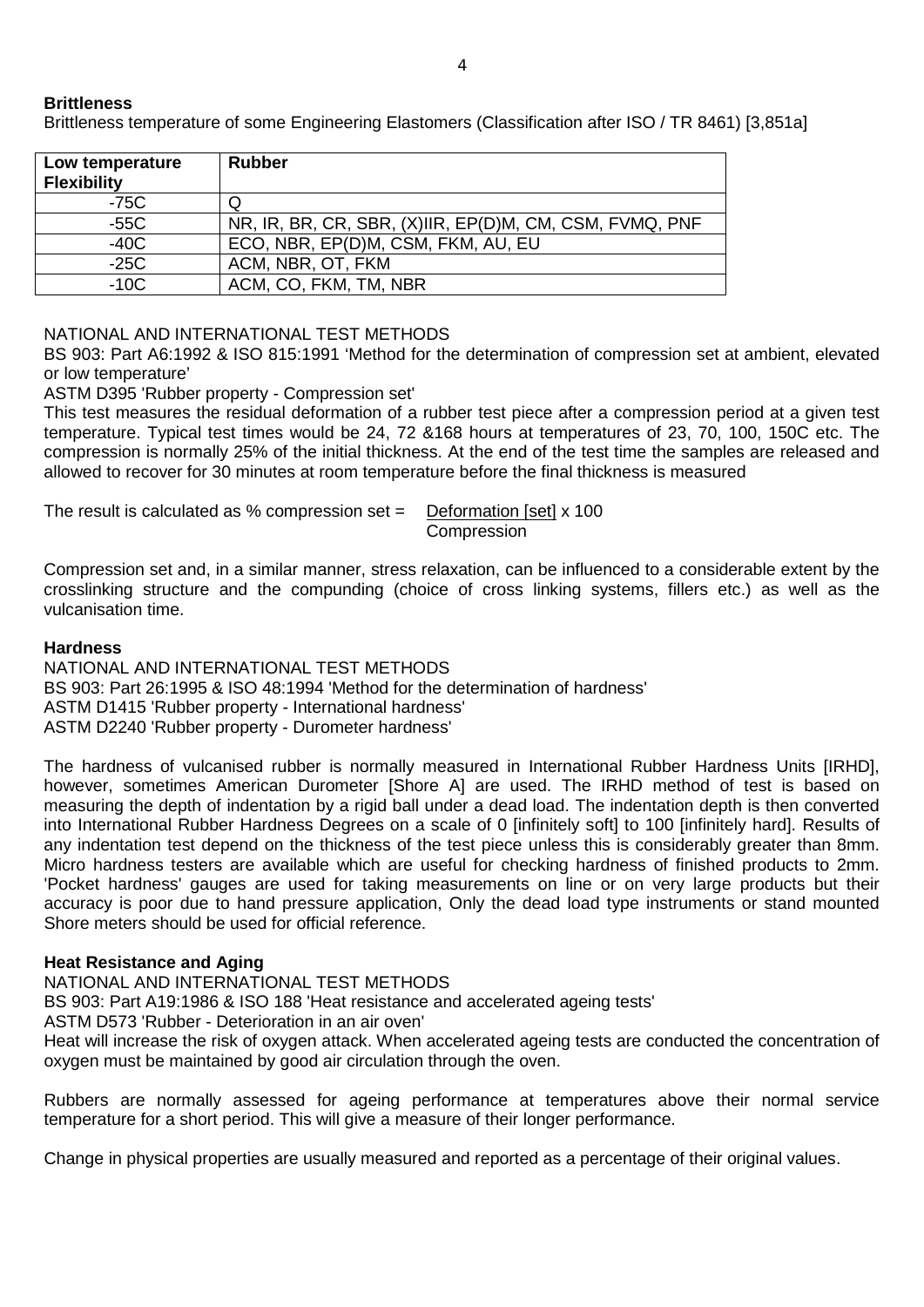## **Brittleness**

Brittleness temperature of some Engineering Elastomers (Classification after ISO / TR 8461) [3,851a]

| Low temperature<br><b>Flexibility</b> | <b>Rubber</b>                                           |
|---------------------------------------|---------------------------------------------------------|
| $-75C$                                |                                                         |
| $-55C$                                | NR, IR, BR, CR, SBR, (X)IIR, EP(D)M, CM, CSM, FVMQ, PNF |
| $-40C$                                | ECO, NBR, EP(D)M, CSM, FKM, AU, EU                      |
| $-25C$                                | ACM, NBR, OT, FKM                                       |
| $-10C$                                | ACM, CO, FKM, TM, NBR                                   |

## NATIONAL AND INTERNATIONAL TEST METHODS

BS 903: Part A6:1992 & ISO 815:1991 'Method for the determination of compression set at ambient, elevated or low temperature'

#### ASTM D395 'Rubber property - Compression set'

This test measures the residual deformation of a rubber test piece after a compression period at a given test temperature. Typical test times would be 24, 72 &168 hours at temperatures of 23, 70, 100, 150C etc. The compression is normally 25% of the initial thickness. At the end of the test time the samples are released and allowed to recover for 30 minutes at room temperature before the final thickness is measured

| The result is calculated as $%$ compression set = | Deformation [set] x 100 |
|---------------------------------------------------|-------------------------|
|                                                   | Compression             |

Compression set and, in a similar manner, stress relaxation, can be influenced to a considerable extent by the crosslinking structure and the compunding (choice of cross linking systems, fillers etc.) as well as the vulcanisation time.

#### **Hardness**

NATIONAL AND INTERNATIONAL TEST METHODS BS 903: Part 26:1995 & ISO 48:1994 'Method for the determination of hardness' ASTM D1415 'Rubber property - International hardness' ASTM D2240 'Rubber property - Durometer hardness'

The hardness of vulcanised rubber is normally measured in International Rubber Hardness Units [IRHD], however, sometimes American Durometer [Shore A] are used. The IRHD method of test is based on measuring the depth of indentation by a rigid ball under a dead load. The indentation depth is then converted into International Rubber Hardness Degrees on a scale of 0 [infinitely soft] to 100 [infinitely hard]. Results of any indentation test depend on the thickness of the test piece unless this is considerably greater than 8mm. Micro hardness testers are available which are useful for checking hardness of finished products to 2mm. 'Pocket hardness' gauges are used for taking measurements on line or on very large products but their accuracy is poor due to hand pressure application, Only the dead load type instruments or stand mounted Shore meters should be used for official reference.

## **Heat Resistance and Aging**

NATIONAL AND INTERNATIONAL TEST METHODS

BS 903: Part A19:1986 & ISO 188 'Heat resistance and accelerated ageing tests'

ASTM D573 'Rubber - Deterioration in an air oven'

Heat will increase the risk of oxygen attack. When accelerated ageing tests are conducted the concentration of oxygen must be maintained by good air circulation through the oven.

Rubbers are normally assessed for ageing performance at temperatures above their normal service temperature for a short period. This will give a measure of their longer performance.

Change in physical properties are usually measured and reported as a percentage of their original values.